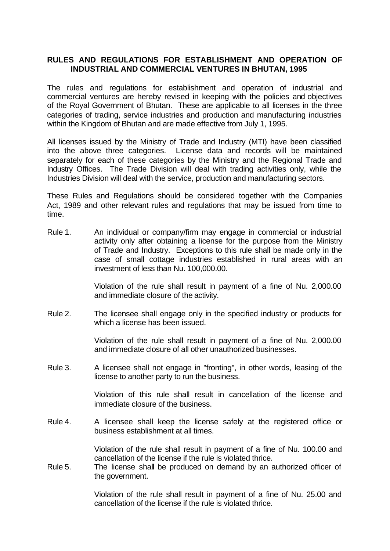# **RULES AND REGULATIONS FOR ESTABLISHMENT AND OPERATION OF INDUSTRIAL AND COMMERCIAL VENTURES IN BHUTAN, 1995**

The rules and regulations for establishment and operation of industrial and commercial ventures are hereby revised in keeping with the policies and objectives of the Royal Government of Bhutan. These are applicable to all licenses in the three categories of trading, service industries and production and manufacturing industries within the Kingdom of Bhutan and are made effective from July 1, 1995.

All licenses issued by the Ministry of Trade and Industry (MTI) have been classified into the above three categories. License data and records will be maintained separately for each of these categories by the Ministry and the Regional Trade and Industry Offices. The Trade Division will deal with trading activities only, while the Industries Division will deal with the service, production and manufacturing sectors.

These Rules and Regulations should be considered together with the Companies Act, 1989 and other relevant rules and regulations that may be issued from time to time.

Rule 1. An individual or company/firm may engage in commercial or industrial activity only after obtaining a license for the purpose from the Ministry of Trade and Industry. Exceptions to this rule shall be made only in the case of small cottage industries established in rural areas with an investment of less than Nu. 100,000.00.

> Violation of the rule shall result in payment of a fine of Nu. 2,000.00 and immediate closure of the activity.

Rule 2. The licensee shall engage only in the specified industry or products for which a license has been issued.

> Violation of the rule shall result in payment of a fine of Nu. 2,000.00 and immediate closure of all other unauthorized businesses.

Rule 3. A licensee shall not engage in "fronting", in other words, leasing of the license to another party to run the business.

> Violation of this rule shall result in cancellation of the license and immediate closure of the business.

Rule 4. A licensee shall keep the license safely at the registered office or business establishment at all times.

> Violation of the rule shall result in payment of a fine of Nu. 100.00 and cancellation of the license if the rule is violated thrice.

Rule 5. The license shall be produced on demand by an authorized officer of the government.

> Violation of the rule shall result in payment of a fine of Nu. 25.00 and cancellation of the license if the rule is violated thrice.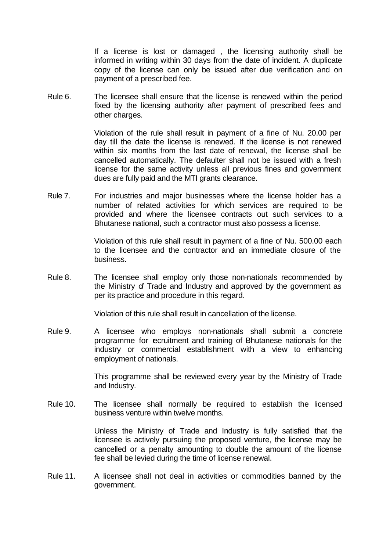If a license is lost or damaged , the licensing authority shall be informed in writing within 30 days from the date of incident. A duplicate copy of the license can only be issued after due verification and on payment of a prescribed fee.

Rule 6. The licensee shall ensure that the license is renewed within the period fixed by the licensing authority after payment of prescribed fees and other charges.

> Violation of the rule shall result in payment of a fine of Nu. 20.00 per day till the date the license is renewed. If the license is not renewed within six months from the last date of renewal, the license shall be cancelled automatically. The defaulter shall not be issued with a fresh license for the same activity unless all previous fines and government dues are fully paid and the MTI grants clearance.

Rule 7. For industries and major businesses where the license holder has a number of related activities for which services are required to be provided and where the licensee contracts out such services to a Bhutanese national, such a contractor must also possess a license.

> Violation of this rule shall result in payment of a fine of Nu. 500.00 each to the licensee and the contractor and an immediate closure of the business.

Rule 8. The licensee shall employ only those non-nationals recommended by the Ministry of Trade and Industry and approved by the government as per its practice and procedure in this regard.

Violation of this rule shall result in cancellation of the license.

Rule 9. A licensee who employs non-nationals shall submit a concrete programme for recruitment and training of Bhutanese nationals for the industry or commercial establishment with a view to enhancing employment of nationals.

> This programme shall be reviewed every year by the Ministry of Trade and Industry.

Rule 10. The licensee shall normally be required to establish the licensed business venture within twelve months.

> Unless the Ministry of Trade and Industry is fully satisfied that the licensee is actively pursuing the proposed venture, the license may be cancelled or a penalty amounting to double the amount of the license fee shall be levied during the time of license renewal.

Rule 11. A licensee shall not deal in activities or commodities banned by the government.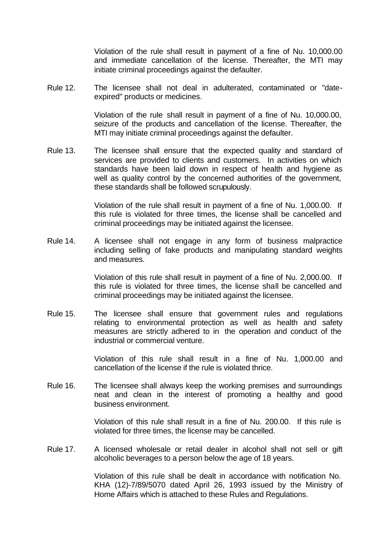Violation of the rule shall result in payment of a fine of Nu. 10,000.00 and immediate cancellation of the license. Thereafter, the MTI may initiate criminal proceedings against the defaulter.

Rule 12. The licensee shall not deal in adulterated, contaminated or "dateexpired" products or medicines.

> Violation of the rule shall result in payment of a fine of Nu. 10,000.00, seizure of the products and cancellation of the license. Thereafter, the MTI may initiate criminal proceedings against the defaulter.

Rule 13. The licensee shall ensure that the expected quality and standard of services are provided to clients and customers. In activities on which standards have been laid down in respect of health and hygiene as well as quality control by the concerned authorities of the government, these standards shall be followed scrupulously.

> Violation of the rule shall result in payment of a fine of Nu. 1,000.00. If this rule is violated for three times, the license shall be cancelled and criminal proceedings may be initiated against the licensee.

Rule 14. A licensee shall not engage in any form of business malpractice including selling of fake products and manipulating standard weights and measures.

> Violation of this rule shall result in payment of a fine of Nu. 2,000.00. If this rule is violated for three times, the license shall be cancelled and criminal proceedings may be initiated against the licensee.

Rule 15. The licensee shall ensure that government rules and regulations relating to environmental protection as well as health and safety measures are strictly adhered to in the operation and conduct of the industrial or commercial venture.

> Violation of this rule shall result in a fine of Nu. 1,000.00 and cancellation of the license if the rule is violated thrice.

Rule 16. The licensee shall always keep the working premises and surroundings neat and clean in the interest of promoting a healthy and good business environment.

> Violation of this rule shall result in a fine of Nu. 200.00. If this rule is violated for three times, the license may be cancelled.

Rule 17. A licensed wholesale or retail dealer in alcohol shall not sell or gift alcoholic beverages to a person below the age of 18 years.

> Violation of this rule shall be dealt in accordance with notification No. KHA (12)-7/89/5070 dated April 26, 1993 issued by the Ministry of Home Affairs which is attached to these Rules and Regulations.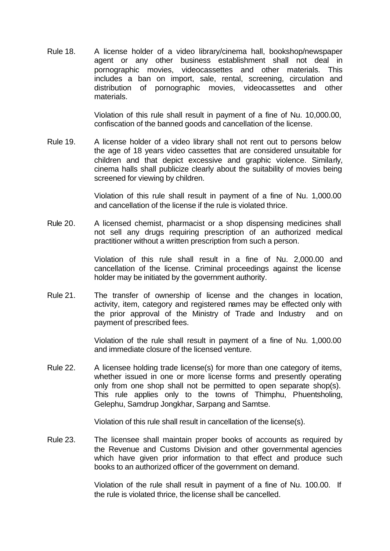Rule 18. A license holder of a video library/cinema hall, bookshop/newspaper agent or any other business establishment shall not deal in pornographic movies, videocassettes and other materials. This includes a ban on import, sale, rental, screening, circulation and distribution of pornographic movies, videocassettes and other materials.

> Violation of this rule shall result in payment of a fine of Nu. 10,000.00, confiscation of the banned goods and cancellation of the license.

Rule 19. A license holder of a video library shall not rent out to persons below the age of 18 years video cassettes that are considered unsuitable for children and that depict excessive and graphic violence. Similarly, cinema halls shall publicize clearly about the suitability of movies being screened for viewing by children.

> Violation of this rule shall result in payment of a fine of Nu. 1,000.00 and cancellation of the license if the rule is violated thrice.

Rule 20. A licensed chemist, pharmacist or a shop dispensing medicines shall not sell any drugs requiring prescription of an authorized medical practitioner without a written prescription from such a person.

> Violation of this rule shall result in a fine of Nu. 2,000.00 and cancellation of the license. Criminal proceedings against the license holder may be initiated by the government authority.

Rule 21. The transfer of ownership of license and the changes in location, activity, item, category and registered names may be effected only with the prior approval of the Ministry of Trade and Industry and on payment of prescribed fees.

> Violation of the rule shall result in payment of a fine of Nu. 1,000.00 and immediate closure of the licensed venture.

Rule 22. A licensee holding trade license(s) for more than one category of items, whether issued in one or more license forms and presently operating only from one shop shall not be permitted to open separate shop(s). This rule applies only to the towns of Thimphu, Phuentsholing, Gelephu, Samdrup Jongkhar, Sarpang and Samtse.

Violation of this rule shall result in cancellation of the license(s).

Rule 23. The licensee shall maintain proper books of accounts as required by the Revenue and Customs Division and other governmental agencies which have given prior information to that effect and produce such books to an authorized officer of the government on demand.

> Violation of the rule shall result in payment of a fine of Nu. 100.00. If the rule is violated thrice, the license shall be cancelled.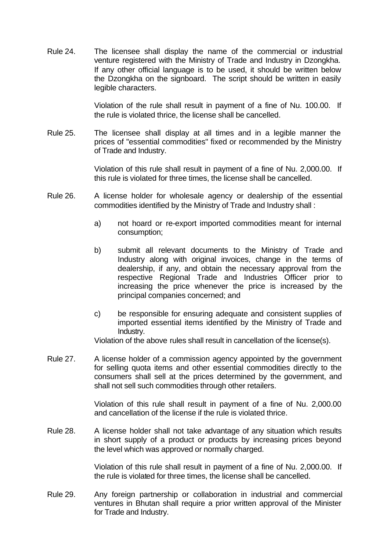Rule 24. The licensee shall display the name of the commercial or industrial venture registered with the Ministry of Trade and Industry in Dzongkha. If any other official language is to be used, it should be written below the Dzongkha on the signboard. The script should be written in easily legible characters.

> Violation of the rule shall result in payment of a fine of Nu. 100.00. If the rule is violated thrice, the license shall be cancelled.

Rule 25. The licensee shall display at all times and in a legible manner the prices of "essential commodities" fixed or recommended by the Ministry of Trade and Industry.

> Violation of this rule shall result in payment of a fine of Nu. 2,000.00. If this rule is violated for three times, the license shall be cancelled.

- Rule 26. A license holder for wholesale agency or dealership of the essential commodities identified by the Ministry of Trade and Industry shall :
	- a) not hoard or re-export imported commodities meant for internal consumption;
	- b) submit all relevant documents to the Ministry of Trade and Industry along with original invoices, change in the terms of dealership, if any, and obtain the necessary approval from the respective Regional Trade and Industries Officer prior to increasing the price whenever the price is increased by the principal companies concerned; and
	- c) be responsible for ensuring adequate and consistent supplies of imported essential items identified by the Ministry of Trade and Industry.

Violation of the above rules shall result in cancellation of the license(s).

Rule 27. A license holder of a commission agency appointed by the government for selling quota items and other essential commodities directly to the consumers shall sell at the prices determined by the government, and shall not sell such commodities through other retailers.

> Violation of this rule shall result in payment of a fine of Nu. 2,000.00 and cancellation of the license if the rule is violated thrice.

Rule 28. A license holder shall not take advantage of any situation which results in short supply of a product or products by increasing prices beyond the level which was approved or normally charged.

> Violation of this rule shall result in payment of a fine of Nu. 2,000.00. If the rule is violated for three times, the license shall be cancelled.

Rule 29. Any foreign partnership or collaboration in industrial and commercial ventures in Bhutan shall require a prior written approval of the Minister for Trade and Industry.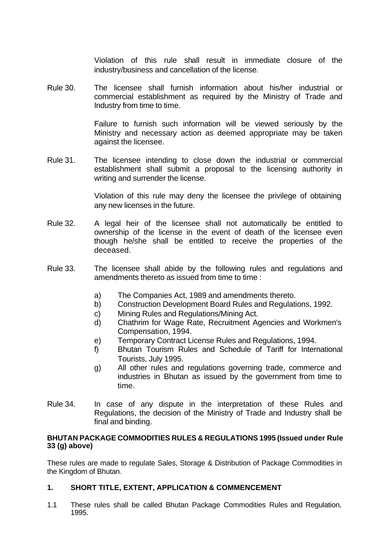Violation of this rule shall result in immediate closure of the industry/business and cancellation of the license.

Rule 30. The licensee shall furnish information about his/her industrial or commercial establishment as required by the Ministry of Trade and Industry from time to time.

> Failure to furnish such information will be viewed seriously by the Ministry and necessary action as deemed appropriate may be taken against the licensee.

Rule 31. The licensee intending to close down the industrial or commercial establishment shall submit a proposal to the licensing authority in writing and surrender the license.

> Violation of this rule may deny the licensee the privilege of obtaining any new licenses in the future.

- Rule 32. A legal heir of the licensee shall not automatically be entitled to ownership of the license in the event of death of the licensee even though he/she shall be entitled to receive the properties of the deceased.
- Rule 33. The licensee shall abide by the following rules and regulations and amendments thereto as issued from time to time :
	- a) The Companies Act, 1989 and amendments thereto.
	- b) Construction Development Board Rules and Regulations, 1992.
	- c) Mining Rules and Regulations/Mining Act.
	- d) Chathrim for Wage Rate, Recruitment Agencies and Workmen's Compensation, 1994.
	- e) Temporary Contract License Rules and Regulations, 1994.
	- f) Bhutan Tourism Rules and Schedule of Tariff for International Tourists, July 1995.
	- g) All other rules and regulations governing trade, commerce and industries in Bhutan as issued by the government from time to time.
- Rule 34. In case of any dispute in the interpretation of these Rules and Regulations, the decision of the Ministry of Trade and Industry shall be final and binding.

#### **BHUTAN PACKAGE COMMODITIES RULES & REGULATIONS 1995 (Issued under Rule 33 (g) above)**

These rules are made to regulate Sales, Storage & Distribution of Package Commodities in the Kingdom of Bhutan.

## **1. SHORT TITLE, EXTENT, APPLICATION & COMMENCEMENT**

1.1 These rules shall be called Bhutan Package Commodities Rules and Regulation, 1995.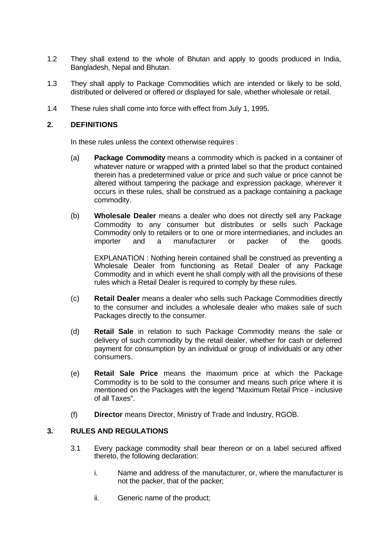- 1.2 They shall extend to the whole of Bhutan and apply to goods produced in India, Bangladesh, Nepal and Bhutan.
- 1.3 They shall apply to Package Commodities which are intended or likely to be sold, distributed or delivered or offered or displayed for sale, whether wholesale or retail.
- 1.4 These rules shall come into force with effect from July 1, 1995.

# **2. DEFINITIONS**

In these rules unless the context otherwise requires :

- (a) **Package Commodity** means a commodity which is packed in a container of whatever nature or wrapped with a printed label so that the product contained therein has a predetermined value or price and such value or price cannot be altered without tampering the package and expression package, wherever it occurs in these rules, shall be construed as a package containing a package commodity.
- (b) **Wholesale Dealer** means a dealer who does not directly sell any Package Commodity to any consumer but distributes or sells such Package Commodity only to retailers or to one or more intermediaries, and includes an importer and a manufacturer or packer of the goods.

EXPLANATION : Nothing herein contained shall be construed as preventing a Wholesale Dealer from functioning as Retail Dealer of any Package Commodity and in which event he shall comply with all the provisions of these rules which a Retail Dealer is required to comply by these rules.

- (c) **Retail Dealer** means a dealer who sells such Package Commodities directly to the consumer and includes a wholesale dealer who makes sale of such Packages directly to the consumer.
- (d) **Retail Sale** in relation to such Package Commodity means the sale or delivery of such commodity by the retail dealer, whether for cash or deferred payment for consumption by an individual or group of individuals or any other consumers.
- (e) **Retail Sale Price** means the maximum price at which the Package Commodity is to be sold to the consumer and means such price where it is mentioned on the Packages with the legend "Maximum Retail Price - inclusive of all Taxes".
- (f) **Director** means Director, Ministry of Trade and Industry, RGOB.

# **3. RULES AND REGULATIONS**

- 3.1 Every package commodity shall bear thereon or on a label secured affixed thereto, the following declaration:
	- i. Name and address of the manufacturer, or, where the manufacturer is not the packer, that of the packer;
	- ii. Generic name of the product;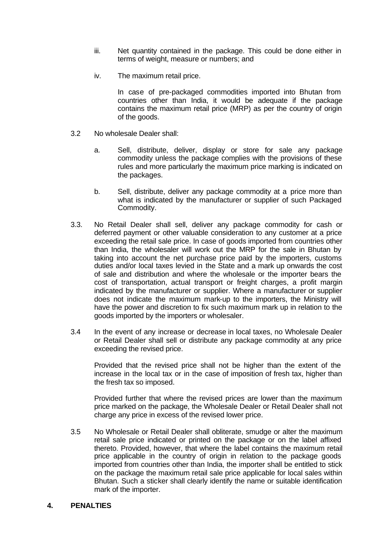- iii. Net quantity contained in the package. This could be done either in terms of weight, measure or numbers; and
- iv. The maximum retail price.

In case of pre-packaged commodities imported into Bhutan from countries other than India, it would be adequate if the package contains the maximum retail price (MRP) as per the country of origin of the goods.

- 3.2 No wholesale Dealer shall:
	- a. Sell, distribute, deliver, display or store for sale any package commodity unless the package complies with the provisions of these rules and more particularly the maximum price marking is indicated on the packages.
	- b. Sell, distribute, deliver any package commodity at a price more than what is indicated by the manufacturer or supplier of such Packaged Commodity.
- 3.3. No Retail Dealer shall sell, deliver any package commodity for cash or deferred payment or other valuable consideration to any customer at a price exceeding the retail sale price. In case of goods imported from countries other than India, the wholesaler will work out the MRP for the sale in Bhutan by taking into account the net purchase price paid by the importers, customs duties and/or local taxes levied in the State and a mark up onwards the cost of sale and distribution and where the wholesale or the importer bears the cost of transportation, actual transport or freight charges, a profit margin indicated by the manufacturer or supplier. Where a manufacturer or supplier does not indicate the maximum mark-up to the importers, the Ministry will have the power and discretion to fix such maximum mark up in relation to the goods imported by the importers or wholesaler.
- 3.4 In the event of any increase or decrease in local taxes, no Wholesale Dealer or Retail Dealer shall sell or distribute any package commodity at any price exceeding the revised price.

Provided that the revised price shall not be higher than the extent of the increase in the local tax or in the case of imposition of fresh tax, higher than the fresh tax so imposed.

Provided further that where the revised prices are lower than the maximum price marked on the package, the Wholesale Dealer or Retail Dealer shall not charge any price in excess of the revised lower price.

3.5 No Wholesale or Retail Dealer shall obliterate, smudge or alter the maximum retail sale price indicated or printed on the package or on the label affixed thereto. Provided, however, that where the label contains the maximum retail price applicable in the country of origin in relation to the package goods imported from countries other than India, the importer shall be entitled to stick on the package the maximum retail sale price applicable for local sales within Bhutan. Such a sticker shall clearly identify the name or suitable identification mark of the importer.

#### **4. PENALTIES**